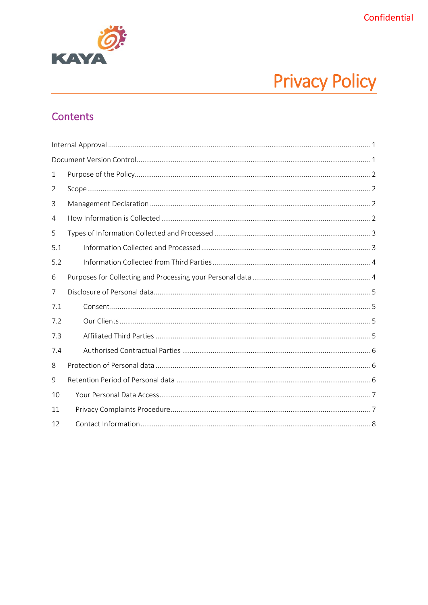

# **Privacy Policy**

# Contents

| 1   |  |  |  |  |
|-----|--|--|--|--|
| 2   |  |  |  |  |
| 3   |  |  |  |  |
| 4   |  |  |  |  |
| 5   |  |  |  |  |
| 5.1 |  |  |  |  |
| 5.2 |  |  |  |  |
| 6   |  |  |  |  |
| 7   |  |  |  |  |
| 7.1 |  |  |  |  |
| 7.2 |  |  |  |  |
| 7.3 |  |  |  |  |
| 7.4 |  |  |  |  |
| 8   |  |  |  |  |
| 9   |  |  |  |  |
| 10  |  |  |  |  |
| 11  |  |  |  |  |
| 12  |  |  |  |  |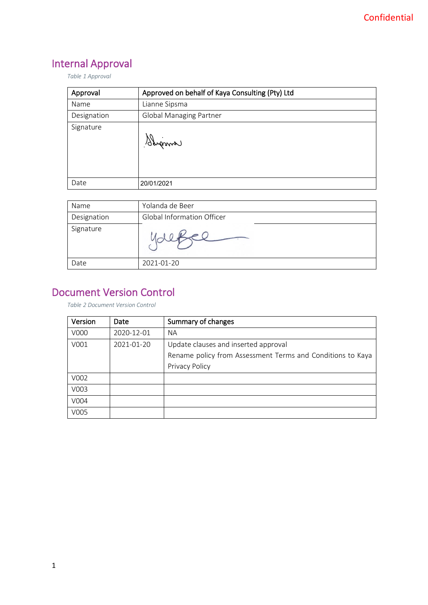# <span id="page-1-0"></span>Internal Approval

*Table 1 Approval*

| Approval    | Approved on behalf of Kaya Consulting (Pty) Ltd |
|-------------|-------------------------------------------------|
| Name        | Lianne Sipsma                                   |
| Designation | <b>Global Managing Partner</b>                  |
| Signature   | Sanama                                          |
| Date        | 20/01/2021                                      |

| Name        | Yolanda de Beer                   |
|-------------|-----------------------------------|
| Designation | <b>Global Information Officer</b> |
| Signature   |                                   |
| Date        | 2021-01-20                        |

# <span id="page-1-1"></span>Document Version Control

*Table 2 Document Version Control*

| Version | Date       | Summary of changes                                         |
|---------|------------|------------------------------------------------------------|
| V000    | 2020-12-01 | <b>NA</b>                                                  |
| V001    | 2021-01-20 | Update clauses and inserted approval                       |
|         |            | Rename policy from Assessment Terms and Conditions to Kaya |
|         |            | Privacy Policy                                             |
| V002    |            |                                                            |
| V003    |            |                                                            |
| V004    |            |                                                            |
| V005    |            |                                                            |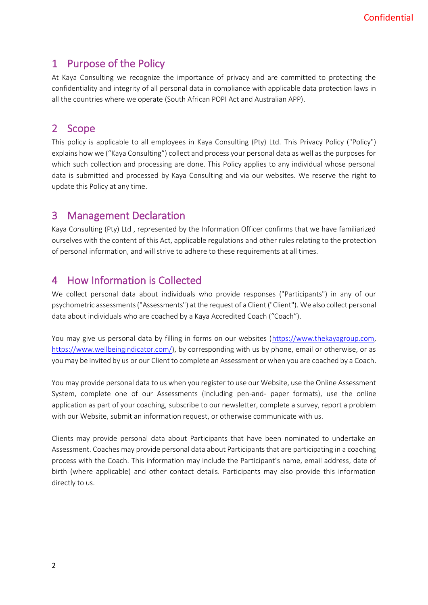## <span id="page-2-0"></span>1 Purpose of the Policy

At Kaya Consulting we recognize the importance of privacy and are committed to protecting the confidentiality and integrity of all personal data in compliance with applicable data protection laws in all the countries where we operate (South African POPI Act and Australian APP).

# <span id="page-2-1"></span>2 Scope

This policy is applicable to all employees in Kaya Consulting (Pty) Ltd. This Privacy Policy ("Policy") explains how we ("Kaya Consulting") collect and process your personal data as well as the purposes for which such collection and processing are done. This Policy applies to any individual whose personal data is submitted and processed by Kaya Consulting and via our websites. We reserve the right to update this Policy at any time.

### <span id="page-2-2"></span>3 Management Declaration

Kaya Consulting (Pty) Ltd , represented by the Information Officer confirms that we have familiarized ourselves with the content of this Act, applicable regulations and other rules relating to the protection of personal information, and will strive to adhere to these requirements at all times.

## <span id="page-2-3"></span>4 How Information is Collected

We collect personal data about individuals who provide responses ("Participants") in any of our psychometric assessments ("Assessments") at the request of a Client ("Client"). We also collect personal data about individuals who are coached by a Kaya Accredited Coach ("Coach").

You may give us personal data by filling in forms on our websites [\(https://www.thekayagroup.com,](https://www.thekayagroup.com/) [https://www.wellbeingindicator.com/\)](https://www.wellbeingindicator.com/), by corresponding with us by phone, email or otherwise, or as you may be invited by us or our Client to complete an Assessment or when you are coached by a Coach.

You may provide personal data to us when you register to use our Website, use the Online Assessment System, complete one of our Assessments (including pen-and- paper formats), use the online application as part of your coaching, subscribe to our newsletter, complete a survey, report a problem with our Website, submit an information request, or otherwise communicate with us.

Clients may provide personal data about Participants that have been nominated to undertake an Assessment. Coaches may provide personal data about Participants that are participating in a coaching process with the Coach. This information may include the Participant's name, email address, date of birth (where applicable) and other contact details. Participants may also provide this information directly to us.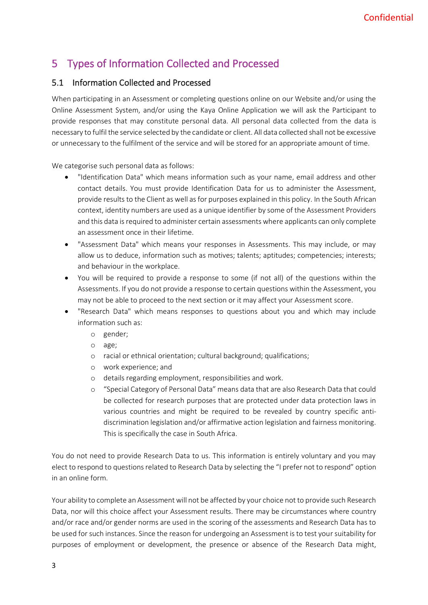# <span id="page-3-0"></span>5 Types of Information Collected and Processed

#### <span id="page-3-1"></span>5.1 Information Collected and Processed

When participating in an Assessment or completing questions online on our Website and/or using the Online Assessment System, and/or using the Kaya Online Application we will ask the Participant to provide responses that may constitute personal data. All personal data collected from the data is necessary to fulfil the service selected by the candidate or client. All data collected shall not be excessive or unnecessary to the fulfilment of the service and will be stored for an appropriate amount of time.

We categorise such personal data as follows:

- "Identification Data" which means information such as your name, email address and other contact details. You must provide Identification Data for us to administer the Assessment, provide results to the Client as well as for purposes explained in this policy. In the South African context, identity numbers are used as a unique identifier by some of the Assessment Providers and this data is required to administer certain assessments where applicants can only complete an assessment once in their lifetime.
- "Assessment Data" which means your responses in Assessments. This may include, or may allow us to deduce, information such as motives; talents; aptitudes; competencies; interests; and behaviour in the workplace.
- You will be required to provide a response to some (if not all) of the questions within the Assessments. If you do not provide a response to certain questions within the Assessment, you may not be able to proceed to the next section or it may affect your Assessment score.
- "Research Data" which means responses to questions about you and which may include information such as:
	- o gender;
	- o age;
	- o racial or ethnical orientation; cultural background; qualifications;
	- o work experience; and
	- o details regarding employment, responsibilities and work.
	- o "Special Category of Personal Data" means data that are also Research Data that could be collected for research purposes that are protected under data protection laws in various countries and might be required to be revealed by country specific antidiscrimination legislation and/or affirmative action legislation and fairness monitoring. This is specifically the case in South Africa.

You do not need to provide Research Data to us. This information is entirely voluntary and you may elect to respond to questions related to Research Data by selecting the "I prefer not to respond" option in an online form.

Your ability to complete an Assessment will not be affected by your choice not to provide such Research Data, nor will this choice affect your Assessment results. There may be circumstances where country and/or race and/or gender norms are used in the scoring of the assessments and Research Data has to be used for such instances. Since the reason for undergoing an Assessment is to test your suitability for purposes of employment or development, the presence or absence of the Research Data might,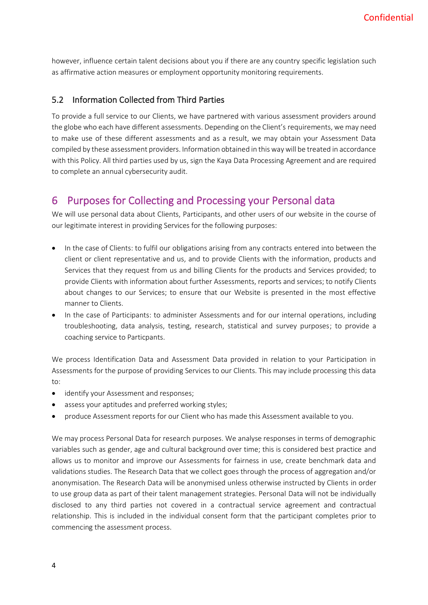however, influence certain talent decisions about you if there are any country specific legislation such as affirmative action measures or employment opportunity monitoring requirements.

#### <span id="page-4-0"></span>5.2 Information Collected from Third Parties

To provide a full service to our Clients, we have partnered with various assessment providers around the globe who each have different assessments. Depending on the Client's requirements, we may need to make use of these different assessments and as a result, we may obtain your Assessment Data compiled by these assessment providers. Information obtained in this way will be treated in accordance with this Policy. All third parties used by us, sign the Kaya Data Processing Agreement and are required to complete an annual cybersecurity audit.

#### <span id="page-4-1"></span>6 Purposes for Collecting and Processing your Personal data

We will use personal data about Clients, Participants, and other users of our website in the course of our legitimate interest in providing Services for the following purposes:

- In the case of Clients: to fulfil our obligations arising from any contracts entered into between the client or client representative and us, and to provide Clients with the information, products and Services that they request from us and billing Clients for the products and Services provided; to provide Clients with information about further Assessments, reports and services; to notify Clients about changes to our Services; to ensure that our Website is presented in the most effective manner to Clients.
- In the case of Participants: to administer Assessments and for our internal operations, including troubleshooting, data analysis, testing, research, statistical and survey purposes; to provide a coaching service to Particpants.

We process Identification Data and Assessment Data provided in relation to your Participation in Assessments for the purpose of providing Services to our Clients. This may include processing this data to:

- identify your Assessment and responses;
- assess your aptitudes and preferred working styles;
- produce Assessment reports for our Client who has made this Assessment available to you.

We may process Personal Data for research purposes. We analyse responses in terms of demographic variables such as gender, age and cultural background over time; this is considered best practice and allows us to monitor and improve our Assessments for fairness in use, create benchmark data and validations studies. The Research Data that we collect goes through the process of aggregation and/or anonymisation. The Research Data will be anonymised unless otherwise instructed by Clients in order to use group data as part of their talent management strategies. Personal Data will not be individually disclosed to any third parties not covered in a contractual service agreement and contractual relationship. This is included in the individual consent form that the participant completes prior to commencing the assessment process.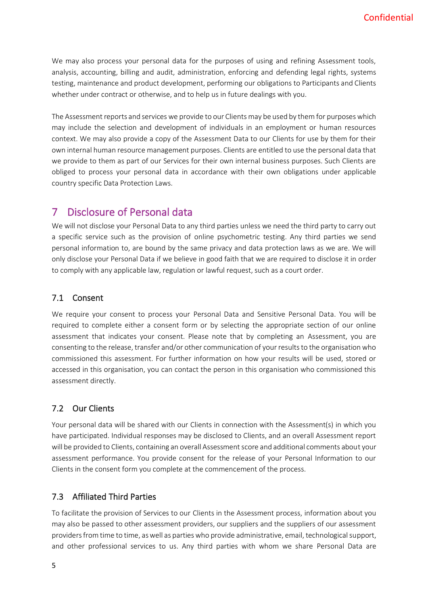We may also process your personal data for the purposes of using and refining Assessment tools, analysis, accounting, billing and audit, administration, enforcing and defending legal rights, systems testing, maintenance and product development, performing our obligations to Participants and Clients whether under contract or otherwise, and to help us in future dealings with you.

The Assessment reports and services we provide to our Clients may be used by them for purposes which may include the selection and development of individuals in an employment or human resources context. We may also provide a copy of the Assessment Data to our Clients for use by them for their own internal human resource management purposes. Clients are entitled to use the personal data that we provide to them as part of our Services for their own internal business purposes. Such Clients are obliged to process your personal data in accordance with their own obligations under applicable country specific Data Protection Laws.

## <span id="page-5-0"></span>7 Disclosure of Personal data

We will not disclose your Personal Data to any third parties unless we need the third party to carry out a specific service such as the provision of online psychometric testing. Any third parties we send personal information to, are bound by the same privacy and data protection laws as we are. We will only disclose your Personal Data if we believe in good faith that we are required to disclose it in order to comply with any applicable law, regulation or lawful request, such as a court order.

#### <span id="page-5-1"></span>7.1 Consent

We require your consent to process your Personal Data and Sensitive Personal Data. You will be required to complete either a consent form or by selecting the appropriate section of our online assessment that indicates your consent. Please note that by completing an Assessment, you are consenting to the release, transfer and/or other communication of your results to the organisation who commissioned this assessment. For further information on how your results will be used, stored or accessed in this organisation, you can contact the person in this organisation who commissioned this assessment directly.

#### <span id="page-5-2"></span>7.2 Our Clients

Your personal data will be shared with our Clients in connection with the Assessment(s) in which you have participated. Individual responses may be disclosed to Clients, and an overall Assessment report will be provided to Clients, containing an overall Assessment score and additional comments about your assessment performance. You provide consent for the release of your Personal Information to our Clients in the consent form you complete at the commencement of the process.

#### <span id="page-5-3"></span>7.3 Affiliated Third Parties

To facilitate the provision of Services to our Clients in the Assessment process, information about you may also be passed to other assessment providers, our suppliers and the suppliers of our assessment providers from time to time, as well as parties who provide administrative, email, technological support, and other professional services to us. Any third parties with whom we share Personal Data are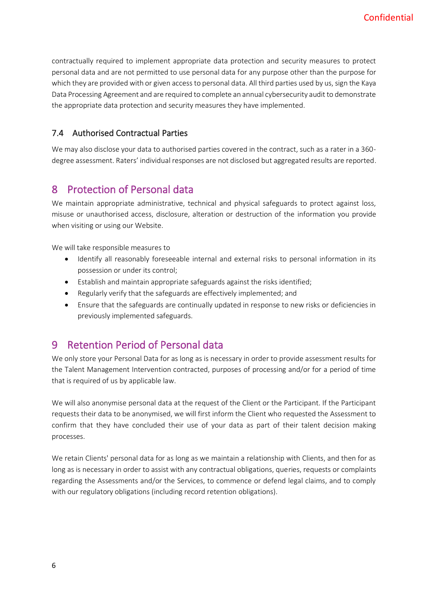contractually required to implement appropriate data protection and security measures to protect personal data and are not permitted to use personal data for any purpose other than the purpose for which they are provided with or given access to personal data. All third parties used by us, sign the Kaya Data Processing Agreement and are required to complete an annual cybersecurity audit to demonstrate the appropriate data protection and security measures they have implemented.

#### <span id="page-6-0"></span>7.4 Authorised Contractual Parties

We may also disclose your data to authorised parties covered in the contract, such as a rater in a 360 degree assessment. Raters' individual responses are not disclosed but aggregated results are reported.

### <span id="page-6-1"></span>8 Protection of Personal data

We maintain appropriate administrative, technical and physical safeguards to protect against loss, misuse or unauthorised access, disclosure, alteration or destruction of the information you provide when visiting or using our Website.

We will take responsible measures to

- Identify all reasonably foreseeable internal and external risks to personal information in its possession or under its control;
- Establish and maintain appropriate safeguards against the risks identified;
- Regularly verify that the safeguards are effectively implemented; and
- Ensure that the safeguards are continually updated in response to new risks or deficiencies in previously implemented safeguards.

### <span id="page-6-2"></span>9 Retention Period of Personal data

We only store your Personal Data for as long as is necessary in order to provide assessment results for the Talent Management Intervention contracted, purposes of processing and/or for a period of time that is required of us by applicable law.

We will also anonymise personal data at the request of the Client or the Participant. If the Participant requests their data to be anonymised, we will first inform the Client who requested the Assessment to confirm that they have concluded their use of your data as part of their talent decision making processes.

We retain Clients' personal data for as long as we maintain a relationship with Clients, and then for as long as is necessary in order to assist with any contractual obligations, queries, requests or complaints regarding the Assessments and/or the Services, to commence or defend legal claims, and to comply with our regulatory obligations (including record retention obligations).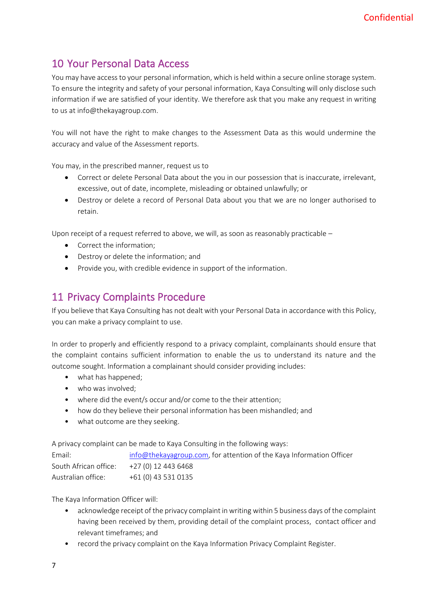# <span id="page-7-0"></span>10 Your Personal Data Access

You may have access to your personal information, which is held within a secure online storage system. To ensure the integrity and safety of your personal information, Kaya Consulting will only disclose such information if we are satisfied of your identity. We therefore ask that you make any request in writing to us at info@thekayagroup.com.

You will not have the right to make changes to the Assessment Data as this would undermine the accuracy and value of the Assessment reports.

You may, in the prescribed manner, request us to

- Correct or delete Personal Data about the you in our possession that is inaccurate, irrelevant, excessive, out of date, incomplete, misleading or obtained unlawfully; or
- Destroy or delete a record of Personal Data about you that we are no longer authorised to retain.

Upon receipt of a request referred to above, we will, as soon as reasonably practicable –

- Correct the information;
- Destroy or delete the information; and
- Provide you, with credible evidence in support of the information.

## <span id="page-7-1"></span>11 Privacy Complaints Procedure

If you believe that Kaya Consulting has not dealt with your Personal Data in accordance with this Policy, you can make a privacy complaint to use.

In order to properly and efficiently respond to a privacy complaint, complainants should ensure that the complaint contains sufficient information to enable the us to understand its nature and the outcome sought. Information a complainant should consider providing includes:

- what has happened;
- who was involved;
- where did the event/s occur and/or come to the their attention;
- how do they believe their personal information has been mishandled; and
- what outcome are they seeking.

A privacy complaint can be made to Kaya Consulting in the following ways:

| Email:                                     | info@thekayagroup.com, for attention of the Kaya Information Officer |
|--------------------------------------------|----------------------------------------------------------------------|
| South African office: $+27(0)$ 12 443 6468 |                                                                      |
| Australian office:                         | +61 (0) 43 531 0135                                                  |

The Kaya Information Officer will:

- acknowledge receipt of the privacy complaint in writing within 5 business days of the complaint having been received by them, providing detail of the complaint process, contact officer and relevant timeframes; and
- record the privacy complaint on the Kaya Information Privacy Complaint Register.